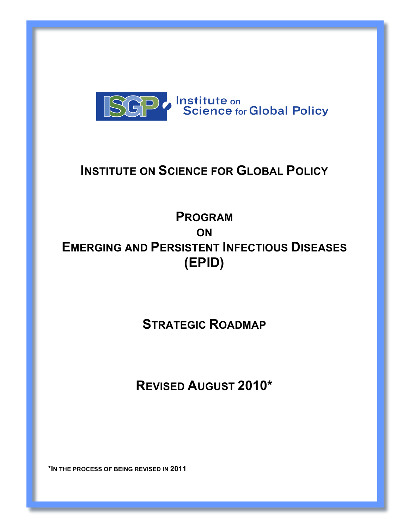

# **INSTITUTE ON SCIENCE FOR GLOBAL POLICY**

# **PROGRAM ON EMERGING AND PERSISTENT INFECTIOUS DISEASES (EPID)**

## **STRATEGIC ROADMAP**

# **REVISED AUGUST 2010\***

**\*IN THE PROCESS OF BEING REVISED IN 2011**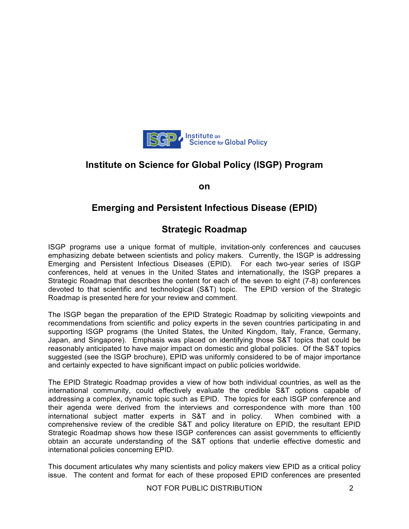

## **Institute on Science for Global Policy (ISGP) Program**

**on**

### **Emerging and Persistent Infectious Disease (EPID)**

### **Strategic Roadmap**

ISGP programs use a unique format of multiple, invitation-only conferences and caucuses emphasizing debate between scientists and policy makers. Currently, the ISGP is addressing Emerging and Persistent Infectious Diseases (EPID). For each two-year series of ISGP conferences, held at venues in the United States and internationally, the ISGP prepares a Strategic Roadmap that describes the content for each of the seven to eight (7-8) conferences devoted to that scientific and technological (S&T) topic. The EPID version of the Strategic Roadmap is presented here for your review and comment.

The ISGP began the preparation of the EPID Strategic Roadmap by soliciting viewpoints and recommendations from scientific and policy experts in the seven countries participating in and supporting ISGP programs (the United States, the United Kingdom, Italy, France, Germany, Japan, and Singapore). Emphasis was placed on identifying those S&T topics that could be reasonably anticipated to have major impact on domestic and global policies. Of the S&T topics suggested (see the ISGP brochure), EPID was uniformly considered to be of major importance and certainly expected to have significant impact on public policies worldwide.

The EPID Strategic Roadmap provides a view of how both individual countries, as well as the international community, could effectively evaluate the credible S&T options capable of addressing a complex, dynamic topic such as EPID. The topics for each ISGP conference and their agenda were derived from the interviews and correspondence with more than 100 international subject matter experts in S&T and in policy. When combined with a comprehensive review of the credible S&T and policy literature on EPID, the resultant EPID Strategic Roadmap shows how these ISGP conferences can assist governments to efficiently obtain an accurate understanding of the S&T options that underlie effective domestic and international policies concerning EPID.

This document articulates why many scientists and policy makers view EPID as a critical policy issue. The content and format for each of these proposed EPID conferences are presented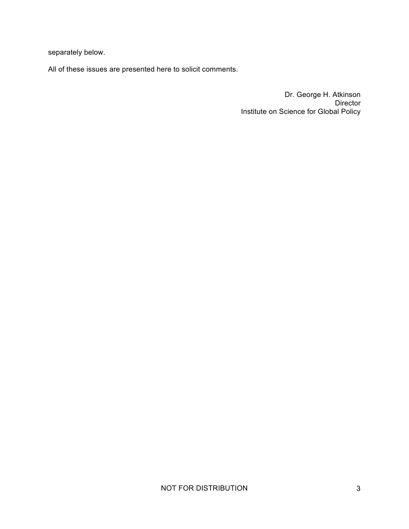separately below.

All of these issues are presented here to solicit comments.

Dr. George H. Atkinson Director Institute on Science for Global Policy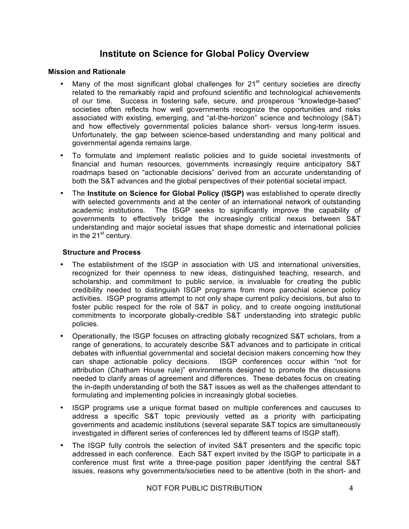### **Institute on Science for Global Policy Overview**

#### **Mission and Rationale**

- Many of the most significant global challenges for  $21<sup>st</sup>$  century societies are directly related to the remarkably rapid and profound scientific and technological achievements of our time. Success in fostering safe, secure, and prosperous "knowledge-based" societies often reflects how well governments recognize the opportunities and risks associated with existing, emerging, and "at-the-horizon" science and technology (S&T) and how effectively governmental policies balance short- versus long-term issues. Unfortunately, the gap between science-based understanding and many political and governmental agenda remains large.
- To formulate and implement realistic policies and to guide societal investments of financial and human resources, governments increasingly require anticipatory S&T roadmaps based on "actionable decisions" derived from an accurate understanding of both the S&T advances and the global perspectives of their potential societal impact.
- The **Institute on Science for Global Policy (ISGP)** was established to operate directly with selected governments and at the center of an international network of outstanding academic institutions. The ISGP seeks to significantly improve the capability of governments to effectively bridge the increasingly critical nexus between S&T understanding and major societal issues that shape domestic and international policies in the  $21<sup>st</sup>$  century.

#### **Structure and Process**

- The establishment of the ISGP in association with US and international universities. recognized for their openness to new ideas, distinguished teaching, research, and scholarship, and commitment to public service, is invaluable for creating the public credibility needed to distinguish ISGP programs from more parochial science policy activities. ISGP programs attempt to not only shape current policy decisions, but also to foster public respect for the role of S&T in policy, and to create ongoing institutional commitments to incorporate globally-credible S&T understanding into strategic public policies.
- Operationally, the ISGP focuses on attracting globally recognized S&T scholars, from a range of generations, to accurately describe S&T advances and to participate in critical debates with influential governmental and societal decision makers concerning how they can shape actionable policy decisions. ISGP conferences occur within "not for attribution (Chatham House rule)" environments designed to promote the discussions needed to clarify areas of agreement and differences. These debates focus on creating the in-depth understanding of both the S&T issues as well as the challenges attendant to formulating and implementing policies in increasingly global societies.
- ISGP programs use a unique format based on multiple conferences and caucuses to address a specific S&T topic previously vetted as a priority with participating governments and academic institutions (several separate S&T topics are simultaneously investigated in different series of conferences led by different teams of ISGP staff).
- The ISGP fully controls the selection of invited S&T presenters and the specific topic addressed in each conference. Each S&T expert invited by the ISGP to participate in a conference must first write a three-page position paper identifying the central S&T issues, reasons why governments/societies need to be attentive (both in the short- and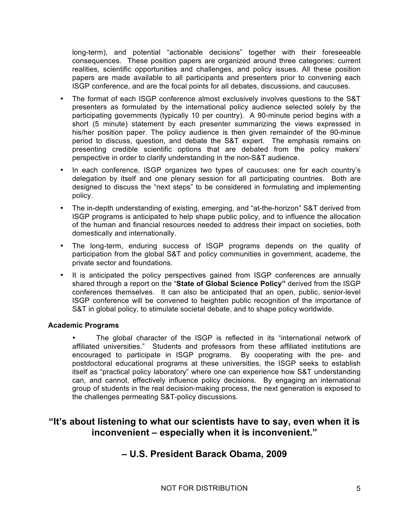long-term), and potential "actionable decisions" together with their foreseeable consequences. These position papers are organized around three categories: current realities, scientific opportunities and challenges, and policy issues. All these position papers are made available to all participants and presenters prior to convening each ISGP conference, and are the focal points for all debates, discussions, and caucuses.

- The format of each ISGP conference almost exclusively involves questions to the S&T presenters as formulated by the international policy audience selected solely by the participating governments (typically 10 per country). A 90-minute period begins with a short (5 minute) statement by each presenter summarizing the views expressed in his/her position paper. The policy audience is then given remainder of the 90-minue period to discuss, question, and debate the S&T expert. The emphasis remains on presenting credible scientific options that are debated from the policy makers' perspective in order to clarify understanding in the non-S&T audience.
- In each conference, ISGP organizes two types of caucuses: one for each country's delegation by itself and one plenary session for all participating countries. Both are designed to discuss the "next steps" to be considered in formulating and implementing policy.
- The in-depth understanding of existing, emerging, and "at-the-horizon" S&T derived from ISGP programs is anticipated to help shape public policy, and to influence the allocation of the human and financial resources needed to address their impact on societies, both domestically and internationally.
- The long-term, enduring success of ISGP programs depends on the quality of participation from the global S&T and policy communities in government, academe, the private sector and foundations.
- It is anticipated the policy perspectives gained from ISGP conferences are annually shared through a report on the "**State of Global Science Policy"** derived from the ISGP conferences themselves. It can also be anticipated that an open, public, senior-level ISGP conference will be convened to heighten public recognition of the importance of S&T in global policy, to stimulate societal debate, and to shape policy worldwide.

#### **Academic Programs**

The global character of the ISGP is reflected in its "international network of affiliated universities." Students and professors from these affiliated institutions are encouraged to participate in ISGP programs. By cooperating with the pre- and postdoctoral educational programs at these universities, the ISGP seeks to establish itself as "practical policy laboratory" where one can experience how S&T understanding can, and cannot, effectively influence policy decisions. By engaging an international group of students in the real decision-making process, the next generation is exposed to the challenges permeating S&T-policy discussions.

### **"It's about listening to what our scientists have to say, even when it is inconvenient – especially when it is inconvenient."**

### **– U.S. President Barack Obama, 2009**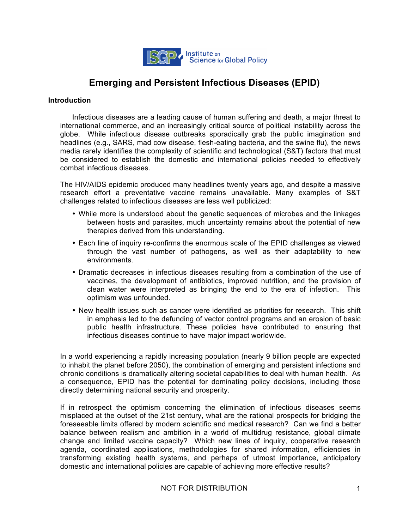

### **Emerging and Persistent Infectious Diseases (EPID)**

#### **Introduction**

Infectious diseases are a leading cause of human suffering and death, a major threat to international commerce, and an increasingly critical source of political instability across the globe. While infectious disease outbreaks sporadically grab the public imagination and headlines (e.g*.*, SARS, mad cow disease, flesh-eating bacteria, and the swine flu), the news media rarely identifies the complexity of scientific and technological (S&T) factors that must be considered to establish the domestic and international policies needed to effectively combat infectious diseases.

The HIV/AIDS epidemic produced many headlines twenty years ago, and despite a massive research effort a preventative vaccine remains unavailable. Many examples of S&T challenges related to infectious diseases are less well publicized:

- While more is understood about the genetic sequences of microbes and the linkages between hosts and parasites, much uncertainty remains about the potential of new therapies derived from this understanding.
- Each line of inquiry re-confirms the enormous scale of the EPID challenges as viewed through the vast number of pathogens, as well as their adaptability to new environments.
- Dramatic decreases in infectious diseases resulting from a combination of the use of vaccines, the development of antibiotics, improved nutrition, and the provision of clean water were interpreted as bringing the end to the era of infection. This optimism was unfounded.
- New health issues such as cancer were identified as priorities for research. This shift in emphasis led to the defunding of vector control programs and an erosion of basic public health infrastructure. These policies have contributed to ensuring that infectious diseases continue to have major impact worldwide.

In a world experiencing a rapidly increasing population (nearly 9 billion people are expected to inhabit the planet before 2050), the combination of emerging and persistent infections and chronic conditions is dramatically altering societal capabilities to deal with human health. As a consequence, EPID has the potential for dominating policy decisions, including those directly determining national security and prosperity.

If in retrospect the optimism concerning the elimination of infectious diseases seems misplaced at the outset of the 21st century, what are the rational prospects for bridging the foreseeable limits offered by modern scientific and medical research? Can we find a better balance between realism and ambition in a world of multidrug resistance, global climate change and limited vaccine capacity? Which new lines of inquiry, cooperative research agenda, coordinated applications, methodologies for shared information, efficiencies in transforming existing health systems, and perhaps of utmost importance, anticipatory domestic and international policies are capable of achieving more effective results?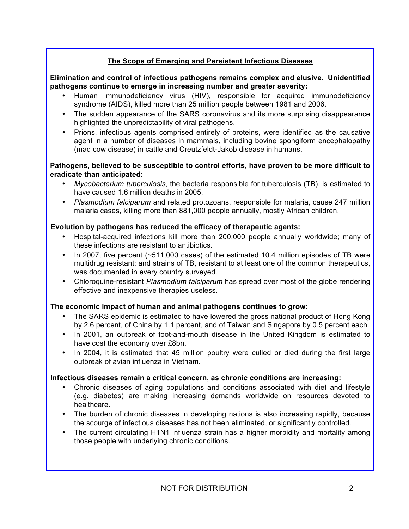### **The Scope of Emerging and Persistent Infectious Diseases**

#### **Elimination and control of infectious pathogens remains complex and elusive. Unidentified pathogens continue to emerge in increasing number and greater severity:**

- Human immunodeficiency virus (HIV), responsible for acquired immunodeficiency syndrome (AIDS), killed more than 25 million people between 1981 and 2006.
- The sudden appearance of the SARS coronavirus and its more surprising disappearance highlighted the unpredictability of viral pathogens.
- Prions, infectious agents comprised entirely of proteins, were identified as the causative agent in a number of diseases in mammals, including bovine spongiform encephalopathy (mad cow disease) in cattle and Creutzfeldt-Jakob disease in humans.

#### **Pathogens, believed to be susceptible to control efforts, have proven to be more difficult to eradicate than anticipated:**

- *Mycobacterium tuberculosis*, the bacteria responsible for tuberculosis (TB), is estimated to have caused 1.6 million deaths in 2005.
- *Plasmodium falciparum* and related protozoans, responsible for malaria, cause 247 million malaria cases, killing more than 881,000 people annually, mostly African children.

#### **Evolution by pathogens has reduced the efficacy of therapeutic agents:**

- Hospital-acquired infections kill more than 200,000 people annually worldwide; many of these infections are resistant to antibiotics.
- In 2007, five percent (~511,000 cases) of the estimated 10.4 million episodes of TB were multidrug resistant; and strains of TB, resistant to at least one of the common therapeutics, was documented in every country surveyed.
- Chloroquine-resistant *Plasmodium falciparum* has spread over most of the globe rendering effective and inexpensive therapies useless.

#### **The economic impact of human and animal pathogens continues to grow:**

- The SARS epidemic is estimated to have lowered the gross national product of Hong Kong by 2.6 percent, of China by 1.1 percent, and of Taiwan and Singapore by 0.5 percent each.
- In 2001, an outbreak of foot-and-mouth disease in the United Kingdom is estimated to have cost the economy over £8bn.
- In 2004, it is estimated that 45 million poultry were culled or died during the first large outbreak of avian influenza in Vietnam.

#### **Infectious diseases remain a critical concern, as chronic conditions are increasing:**

- Chronic diseases of aging populations and conditions associated with diet and lifestyle (e.g. diabetes) are making increasing demands worldwide on resources devoted to healthcare.
- The burden of chronic diseases in developing nations is also increasing rapidly, because the scourge of infectious diseases has not been eliminated, or significantly controlled.
- The current circulating H1N1 influenza strain has a higher morbidity and mortality among those people with underlying chronic conditions.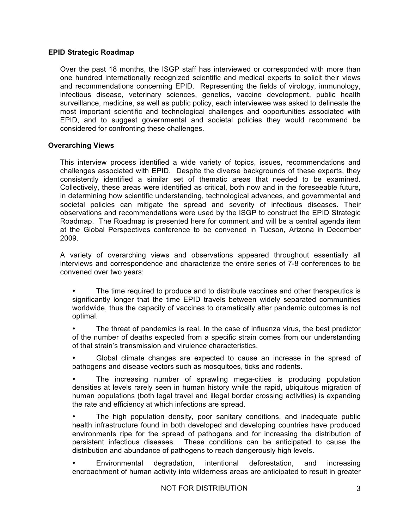#### **EPID Strategic Roadmap**

Over the past 18 months, the ISGP staff has interviewed or corresponded with more than one hundred internationally recognized scientific and medical experts to solicit their views and recommendations concerning EPID. Representing the fields of virology, immunology, infectious disease, veterinary sciences, genetics, vaccine development, public health surveillance, medicine, as well as public policy, each interviewee was asked to delineate the most important scientific and technological challenges and opportunities associated with EPID, and to suggest governmental and societal policies they would recommend be considered for confronting these challenges.

#### **Overarching Views**

This interview process identified a wide variety of topics, issues, recommendations and challenges associated with EPID. Despite the diverse backgrounds of these experts, they consistently identified a similar set of thematic areas that needed to be examined. Collectively, these areas were identified as critical, both now and in the foreseeable future, in determining how scientific understanding, technological advances, and governmental and societal policies can mitigate the spread and severity of infectious diseases. Their observations and recommendations were used by the ISGP to construct the EPID Strategic Roadmap. The Roadmap is presented here for comment and will be a central agenda item at the Global Perspectives conference to be convened in Tucson, Arizona in December 2009.

A variety of overarching views and observations appeared throughout essentially all interviews and correspondence and characterize the entire series of 7-8 conferences to be convened over two years:

The time required to produce and to distribute vaccines and other therapeutics is significantly longer that the time EPID travels between widely separated communities worldwide, thus the capacity of vaccines to dramatically alter pandemic outcomes is not optimal.

• The threat of pandemics is real. In the case of influenza virus, the best predictor of the number of deaths expected from a specific strain comes from our understanding of that strain's transmission and virulence characteristics.

• Global climate changes are expected to cause an increase in the spread of pathogens and disease vectors such as mosquitoes, ticks and rodents.

• The increasing number of sprawling mega-cities is producing population densities at levels rarely seen in human history while the rapid, ubiquitous migration of human populations (both legal travel and illegal border crossing activities) is expanding the rate and efficiency at which infections are spread.

• The high population density, poor sanitary conditions, and inadequate public health infrastructure found in both developed and developing countries have produced environments ripe for the spread of pathogens and for increasing the distribution of persistent infectious diseases. These conditions can be anticipated to cause the distribution and abundance of pathogens to reach dangerously high levels.

• Environmental degradation, intentional deforestation, and increasing encroachment of human activity into wilderness areas are anticipated to result in greater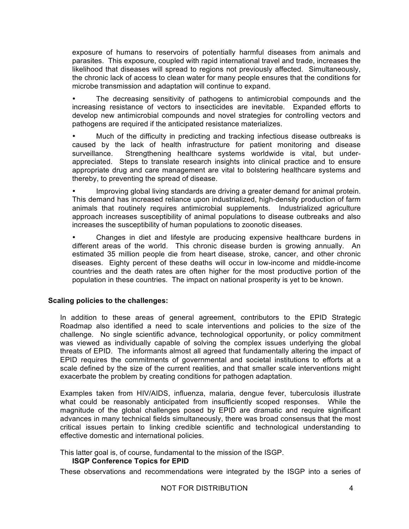exposure of humans to reservoirs of potentially harmful diseases from animals and parasites. This exposure, coupled with rapid international travel and trade, increases the likelihood that diseases will spread to regions not previously affected. Simultaneously, the chronic lack of access to clean water for many people ensures that the conditions for microbe transmission and adaptation will continue to expand.

The decreasing sensitivity of pathogens to antimicrobial compounds and the increasing resistance of vectors to insecticides are inevitable. Expanded efforts to develop new antimicrobial compounds and novel strategies for controlling vectors and pathogens are required if the anticipated resistance materializes.

• Much of the difficulty in predicting and tracking infectious disease outbreaks is caused by the lack of health infrastructure for patient monitoring and disease surveillance. Strengthening healthcare systems worldwide is vital, but underappreciated. Steps to translate research insights into clinical practice and to ensure appropriate drug and care management are vital to bolstering healthcare systems and thereby, to preventing the spread of disease.

Improving global living standards are driving a greater demand for animal protein. This demand has increased reliance upon industrialized, high-density production of farm animals that routinely requires antimicrobial supplements. Industrialized agriculture approach increases susceptibility of animal populations to disease outbreaks and also increases the susceptibility of human populations to zoonotic diseases.

• Changes in diet and lifestyle are producing expensive healthcare burdens in different areas of the world. This chronic disease burden is growing annually. An estimated 35 million people die from heart disease, stroke, cancer, and other chronic diseases. Eighty percent of these deaths will occur in low-income and middle-income countries and the death rates are often higher for the most productive portion of the population in these countries. The impact on national prosperity is yet to be known.

#### **Scaling policies to the challenges:**

In addition to these areas of general agreement, contributors to the EPID Strategic Roadmap also identified a need to scale interventions and policies to the size of the challenge. No single scientific advance, technological opportunity, or policy commitment was viewed as individually capable of solving the complex issues underlying the global threats of EPID. The informants almost all agreed that fundamentally altering the impact of EPID requires the commitments of governmental and societal institutions to efforts at a scale defined by the size of the current realities, and that smaller scale interventions might exacerbate the problem by creating conditions for pathogen adaptation.

Examples taken from HIV/AIDS, influenza, malaria, dengue fever, tuberculosis illustrate what could be reasonably anticipated from insufficiently scoped responses. While the magnitude of the global challenges posed by EPID are dramatic and require significant advances in many technical fields simultaneously, there was broad consensus that the most critical issues pertain to linking credible scientific and technological understanding to effective domestic and international policies.

This latter goal is, of course, fundamental to the mission of the ISGP.

#### **ISGP Conference Topics for EPID**

These observations and recommendations were integrated by the ISGP into a series of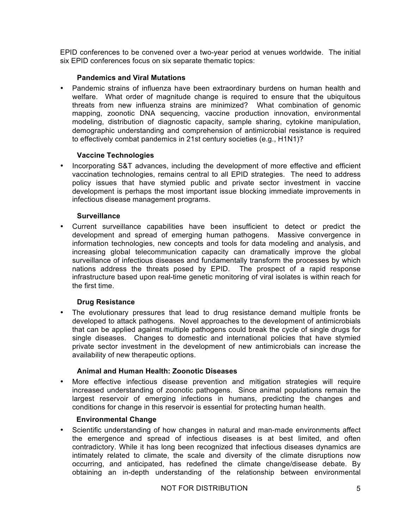EPID conferences to be convened over a two-year period at venues worldwide. The initial six EPID conferences focus on six separate thematic topics:

#### **Pandemics and Viral Mutations**

• Pandemic strains of influenza have been extraordinary burdens on human health and welfare. What order of magnitude change is required to ensure that the ubiquitous threats from new influenza strains are minimized? What combination of genomic mapping, zoonotic DNA sequencing, vaccine production innovation, environmental modeling, distribution of diagnostic capacity, sample sharing, cytokine manipulation, demographic understanding and comprehension of antimicrobial resistance is required to effectively combat pandemics in 21st century societies (e.g., H1N1)?

#### **Vaccine Technologies**

• Incorporating S&T advances, including the development of more effective and efficient vaccination technologies, remains central to all EPID strategies. The need to address policy issues that have stymied public and private sector investment in vaccine development is perhaps the most important issue blocking immediate improvements in infectious disease management programs.

#### **Surveillance**

• Current surveillance capabilities have been insufficient to detect or predict the development and spread of emerging human pathogens. Massive convergence in information technologies, new concepts and tools for data modeling and analysis, and increasing global telecommunication capacity can dramatically improve the global surveillance of infectious diseases and fundamentally transform the processes by which nations address the threats posed by EPID. The prospect of a rapid response infrastructure based upon real-time genetic monitoring of viral isolates is within reach for the first time.

### **Drug Resistance**

• The evolutionary pressures that lead to drug resistance demand multiple fronts be developed to attack pathogens. Novel approaches to the development of antimicrobials that can be applied against multiple pathogens could break the cycle of single drugs for single diseases. Changes to domestic and international policies that have stymied private sector investment in the development of new antimicrobials can increase the availability of new therapeutic options.

#### **Animal and Human Health: Zoonotic Diseases**

• More effective infectious disease prevention and mitigation strategies will require increased understanding of zoonotic pathogens. Since animal populations remain the largest reservoir of emerging infections in humans, predicting the changes and conditions for change in this reservoir is essential for protecting human health.

#### **Environmental Change**

• Scientific understanding of how changes in natural and man-made environments affect the emergence and spread of infectious diseases is at best limited, and often contradictory. While it has long been recognized that infectious diseases dynamics are intimately related to climate, the scale and diversity of the climate disruptions now occurring, and anticipated, has redefined the climate change/disease debate. By obtaining an in-depth understanding of the relationship between environmental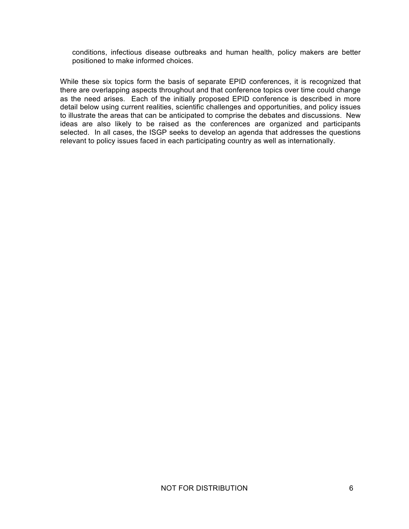conditions, infectious disease outbreaks and human health, policy makers are better positioned to make informed choices.

While these six topics form the basis of separate EPID conferences, it is recognized that there are overlapping aspects throughout and that conference topics over time could change as the need arises. Each of the initially proposed EPID conference is described in more detail below using current realities, scientific challenges and opportunities, and policy issues to illustrate the areas that can be anticipated to comprise the debates and discussions. New ideas are also likely to be raised as the conferences are organized and participants selected. In all cases, the ISGP seeks to develop an agenda that addresses the questions relevant to policy issues faced in each participating country as well as internationally.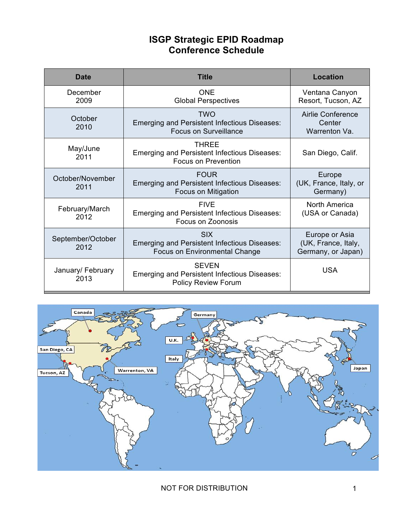## **ISGP Strategic EPID Roadmap Conference Schedule**

| <b>Date</b>               | <b>Title</b>                                                                                              | <b>Location</b>                                             |
|---------------------------|-----------------------------------------------------------------------------------------------------------|-------------------------------------------------------------|
| December<br>2009          | <b>ONE</b><br><b>Global Perspectives</b>                                                                  | Ventana Canyon<br>Resort, Tucson, AZ                        |
| October<br>2010           | <b>TWO</b><br>Emerging and Persistent Infectious Diseases:<br><b>Focus on Surveillance</b>                | <b>Airlie Conference</b><br>Center<br>Warrenton Va.         |
| May/June<br>2011          | <b>THREE</b><br><b>Emerging and Persistent Infectious Diseases:</b><br><b>Focus on Prevention</b>         | San Diego, Calif.                                           |
| October/November<br>2011  | <b>FOUR</b><br>Emerging and Persistent Infectious Diseases:<br>Focus on Mitigation                        | Europe<br>(UK, France, Italy, or<br>Germany)                |
| February/March<br>2012    | <b>FIVE</b><br><b>Emerging and Persistent Infectious Diseases:</b><br>Focus on Zoonosis                   | North America<br>(USA or Canada)                            |
| September/October<br>2012 | <b>SIX</b><br><b>Emerging and Persistent Infectious Diseases:</b><br><b>Focus on Environmental Change</b> | Europe or Asia<br>(UK, France, Italy,<br>Germany, or Japan) |
| January/ February<br>2013 | <b>SEVEN</b><br><b>Emerging and Persistent Infectious Diseases:</b><br><b>Policy Review Forum</b>         | <b>USA</b>                                                  |

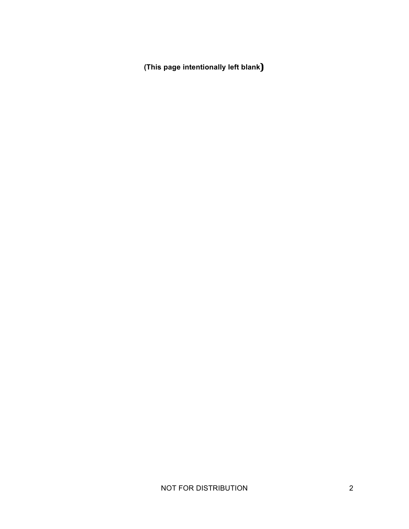**(This page intentionally left blank)!**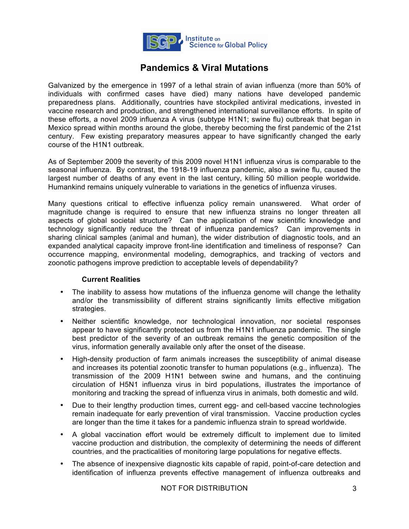

### **Pandemics & Viral Mutations**

Galvanized by the emergence in 1997 of a lethal strain of avian influenza (more than 50% of individuals with confirmed cases have died) many nations have developed pandemic preparedness plans. Additionally, countries have stockpiled antiviral medications, invested in vaccine research and production, and strengthened international surveillance efforts. In spite of these efforts, a novel 2009 influenza A virus (subtype H1N1; swine flu) outbreak that began in Mexico spread within months around the globe, thereby becoming the first pandemic of the 21st century. Few existing preparatory measures appear to have significantly changed the early course of the H1N1 outbreak.

As of September 2009 the severity of this 2009 novel H1N1 influenza virus is comparable to the seasonal influenza. By contrast, the 1918-19 influenza pandemic, also a swine flu, caused the largest number of deaths of any event in the last century, killing 50 million people worldwide. Humankind remains uniquely vulnerable to variations in the genetics of influenza viruses.

Many questions critical to effective influenza policy remain unanswered. What order of magnitude change is required to ensure that new influenza strains no longer threaten all aspects of global societal structure? Can the application of new scientific knowledge and technology significantly reduce the threat of influenza pandemics? Can improvements in sharing clinical samples (animal and human), the wider distribution of diagnostic tools, and an expanded analytical capacity improve front-line identification and timeliness of response? Can occurrence mapping, environmental modeling, demographics, and tracking of vectors and zoonotic pathogens improve prediction to acceptable levels of dependability?

#### **Current Realities**

- The inability to assess how mutations of the influenza genome will change the lethality and/or the transmissibility of different strains significantly limits effective mitigation strategies.
- Neither scientific knowledge, nor technological innovation, nor societal responses appear to have significantly protected us from the H1N1 influenza pandemic. The single best predictor of the severity of an outbreak remains the genetic composition of the virus, information generally available only after the onset of the disease.
- High-density production of farm animals increases the susceptibility of animal disease and increases its potential zoonotic transfer to human populations (e.g., influenza). The transmission of the 2009 H1N1 between swine and humans, and the continuing circulation of H5N1 influenza virus in bird populations, illustrates the importance of monitoring and tracking the spread of influenza virus in animals, both domestic and wild.
- Due to their lengthy production times, current egg- and cell-based vaccine technologies remain inadequate for early prevention of viral transmission. Vaccine production cycles are longer than the time it takes for a pandemic influenza strain to spread worldwide.
- A global vaccination effort would be extremely difficult to implement due to limited vaccine production and distribution, the complexity of determining the needs of different countries, and the practicalities of monitoring large populations for negative effects.
- The absence of inexpensive diagnostic kits capable of rapid, point-of-care detection and identification of influenza prevents effective management of influenza outbreaks and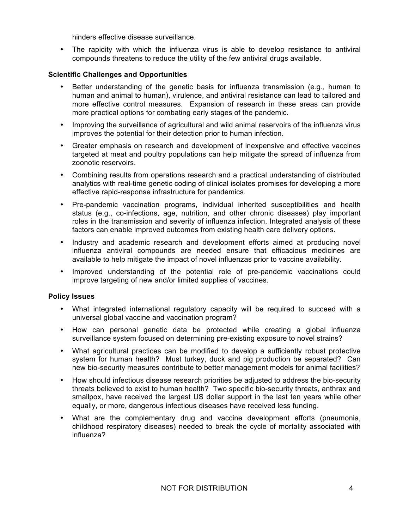hinders effective disease surveillance.

• The rapidity with which the influenza virus is able to develop resistance to antiviral compounds threatens to reduce the utility of the few antiviral drugs available.

#### **Scientific Challenges and Opportunities**

- Better understanding of the genetic basis for influenza transmission (e.g., human to human and animal to human), virulence, and antiviral resistance can lead to tailored and more effective control measures. Expansion of research in these areas can provide more practical options for combating early stages of the pandemic.
- Improving the surveillance of agricultural and wild animal reservoirs of the influenza virus improves the potential for their detection prior to human infection.
- Greater emphasis on research and development of inexpensive and effective vaccines targeted at meat and poultry populations can help mitigate the spread of influenza from zoonotic reservoirs.
- Combining results from operations research and a practical understanding of distributed analytics with real-time genetic coding of clinical isolates promises for developing a more effective rapid-response infrastructure for pandemics.
- Pre-pandemic vaccination programs, individual inherited susceptibilities and health status (e.g., co-infections, age, nutrition, and other chronic diseases) play important roles in the transmission and severity of influenza infection. Integrated analysis of these factors can enable improved outcomes from existing health care delivery options.
- Industry and academic research and development efforts aimed at producing novel influenza antiviral compounds are needed ensure that efficacious medicines are available to help mitigate the impact of novel influenzas prior to vaccine availability.
- Improved understanding of the potential role of pre-pandemic vaccinations could improve targeting of new and/or limited supplies of vaccines.

- What integrated international regulatory capacity will be required to succeed with a universal global vaccine and vaccination program?
- How can personal genetic data be protected while creating a global influenza surveillance system focused on determining pre-existing exposure to novel strains?
- What agricultural practices can be modified to develop a sufficiently robust protective system for human health? Must turkey, duck and pig production be separated? Can new bio-security measures contribute to better management models for animal facilities?
- How should infectious disease research priorities be adjusted to address the bio-security threats believed to exist to human health? Two specific bio-security threats, anthrax and smallpox, have received the largest US dollar support in the last ten years while other equally, or more, dangerous infectious diseases have received less funding.
- What are the complementary drug and vaccine development efforts (pneumonia, childhood respiratory diseases) needed to break the cycle of mortality associated with influenza?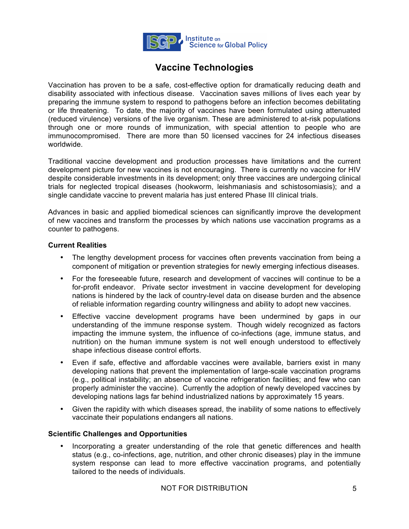

### **Vaccine Technologies**

Vaccination has proven to be a safe, cost-effective option for dramatically reducing death and disability associated with infectious disease. Vaccination saves millions of lives each year by preparing the immune system to respond to pathogens before an infection becomes debilitating or life threatening. To date, the majority of vaccines have been formulated using attenuated (reduced virulence) versions of the live organism. These are administered to at-risk populations through one or more rounds of immunization, with special attention to people who are immunocompromised. There are more than 50 licensed vaccines for 24 infectious diseases worldwide.

Traditional vaccine development and production processes have limitations and the current development picture for new vaccines is not encouraging. There is currently no vaccine for HIV despite considerable investments in its development; only three vaccines are undergoing clinical trials for neglected tropical diseases (hookworm, leishmaniasis and schistosomiasis); and a single candidate vaccine to prevent malaria has just entered Phase III clinical trials.

Advances in basic and applied biomedical sciences can significantly improve the development of new vaccines and transform the processes by which nations use vaccination programs as a counter to pathogens.

#### **Current Realities**

- The lengthy development process for vaccines often prevents vaccination from being a component of mitigation or prevention strategies for newly emerging infectious diseases.
- For the foreseeable future, research and development of vaccines will continue to be a for-profit endeavor. Private sector investment in vaccine development for developing nations is hindered by the lack of country-level data on disease burden and the absence of reliable information regarding country willingness and ability to adopt new vaccines.
- Effective vaccine development programs have been undermined by gaps in our understanding of the immune response system. Though widely recognized as factors impacting the immune system, the influence of co-infections (age, immune status, and nutrition) on the human immune system is not well enough understood to effectively shape infectious disease control efforts.
- Even if safe, effective and affordable vaccines were available, barriers exist in many developing nations that prevent the implementation of large-scale vaccination programs (e.g., political instability; an absence of vaccine refrigeration facilities; and few who can properly administer the vaccine). Currently the adoption of newly developed vaccines by developing nations lags far behind industrialized nations by approximately 15 years.
- Given the rapidity with which diseases spread, the inability of some nations to effectively vaccinate their populations endangers all nations.

#### **Scientific Challenges and Opportunities**

• Incorporating a greater understanding of the role that genetic differences and health status (e.g., co-infections, age, nutrition, and other chronic diseases) play in the immune system response can lead to more effective vaccination programs, and potentially tailored to the needs of individuals.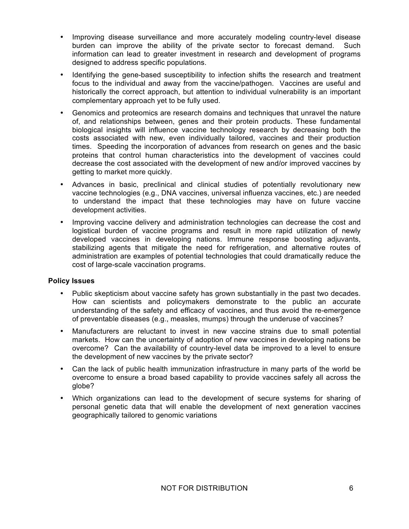- Improving disease surveillance and more accurately modeling country-level disease burden can improve the ability of the private sector to forecast demand. Such information can lead to greater investment in research and development of programs designed to address specific populations.
- Identifying the gene-based susceptibility to infection shifts the research and treatment focus to the individual and away from the vaccine/pathogen. Vaccines are useful and historically the correct approach, but attention to individual vulnerability is an important complementary approach yet to be fully used.
- Genomics and proteomics are research domains and techniques that unravel the nature of, and relationships between, genes and their protein products. These fundamental biological insights will influence vaccine technology research by decreasing both the costs associated with new, even individually tailored, vaccines and their production times. Speeding the incorporation of advances from research on genes and the basic proteins that control human characteristics into the development of vaccines could decrease the cost associated with the development of new and/or improved vaccines by getting to market more quickly.
- Advances in basic, preclinical and clinical studies of potentially revolutionary new vaccine technologies (e.g., DNA vaccines, universal influenza vaccines, etc.) are needed to understand the impact that these technologies may have on future vaccine development activities.
- Improving vaccine delivery and administration technologies can decrease the cost and logistical burden of vaccine programs and result in more rapid utilization of newly developed vaccines in developing nations. Immune response boosting adjuvants, stabilizing agents that mitigate the need for refrigeration, and alternative routes of administration are examples of potential technologies that could dramatically reduce the cost of large-scale vaccination programs.

- Public skepticism about vaccine safety has grown substantially in the past two decades. How can scientists and policymakers demonstrate to the public an accurate understanding of the safety and efficacy of vaccines, and thus avoid the re-emergence of preventable diseases (e.g., measles, mumps) through the underuse of vaccines?
- Manufacturers are reluctant to invest in new vaccine strains due to small potential markets. How can the uncertainty of adoption of new vaccines in developing nations be overcome? Can the availability of country-level data be improved to a level to ensure the development of new vaccines by the private sector?
- Can the lack of public health immunization infrastructure in many parts of the world be overcome to ensure a broad based capability to provide vaccines safely all across the globe?
- Which organizations can lead to the development of secure systems for sharing of personal genetic data that will enable the development of next generation vaccines geographically tailored to genomic variations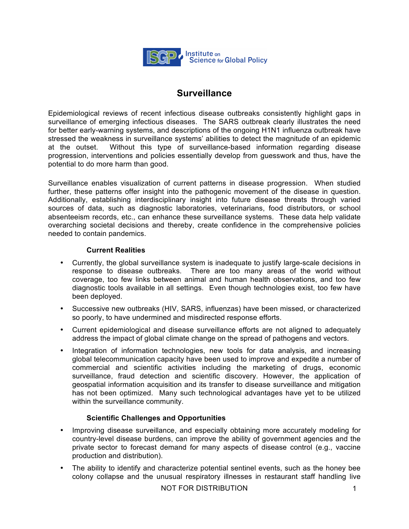

### **Surveillance**

Epidemiological reviews of recent infectious disease outbreaks consistently highlight gaps in surveillance of emerging infectious diseases. The SARS outbreak clearly illustrates the need for better early-warning systems, and descriptions of the ongoing H1N1 influenza outbreak have stressed the weakness in surveillance systems' abilities to detect the magnitude of an epidemic at the outset. Without this type of surveillance-based information regarding disease progression, interventions and policies essentially develop from guesswork and thus, have the potential to do more harm than good.

Surveillance enables visualization of current patterns in disease progression. When studied further, these patterns offer insight into the pathogenic movement of the disease in question. Additionally, establishing interdisciplinary insight into future disease threats through varied sources of data, such as diagnostic laboratories, veterinarians, food distributors, or school absenteeism records, etc., can enhance these surveillance systems. These data help validate overarching societal decisions and thereby, create confidence in the comprehensive policies needed to contain pandemics.

#### **Current Realities**

- Currently, the global surveillance system is inadequate to justify large-scale decisions in response to disease outbreaks. There are too many areas of the world without coverage, too few links between animal and human health observations, and too few diagnostic tools available in all settings. Even though technologies exist, too few have been deployed.
- Successive new outbreaks (HIV, SARS, influenzas) have been missed, or characterized so poorly, to have undermined and misdirected response efforts.
- Current epidemiological and disease surveillance efforts are not aligned to adequately address the impact of global climate change on the spread of pathogens and vectors.
- Integration of information technologies, new tools for data analysis, and increasing global telecommunication capacity have been used to improve and expedite a number of commercial and scientific activities including the marketing of drugs, economic surveillance, fraud detection and scientific discovery. However, the application of geospatial information acquisition and its transfer to disease surveillance and mitigation has not been optimized. Many such technological advantages have yet to be utilized within the surveillance community.

### **Scientific Challenges and Opportunities**

- Improving disease surveillance, and especially obtaining more accurately modeling for country-level disease burdens, can improve the ability of government agencies and the private sector to forecast demand for many aspects of disease control (e.g., vaccine production and distribution).
- The ability to identify and characterize potential sentinel events, such as the honey bee colony collapse and the unusual respiratory illnesses in restaurant staff handling live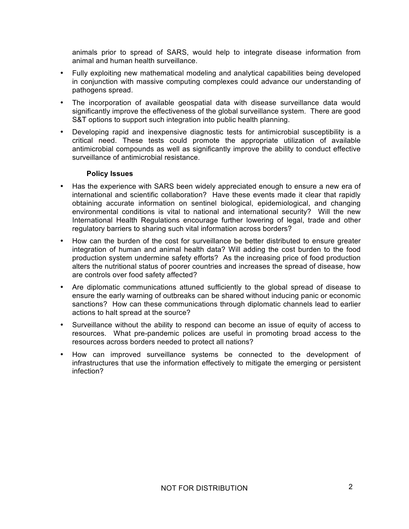animals prior to spread of SARS, would help to integrate disease information from animal and human health surveillance.

- Fully exploiting new mathematical modeling and analytical capabilities being developed in conjunction with massive computing complexes could advance our understanding of pathogens spread.
- The incorporation of available geospatial data with disease surveillance data would significantly improve the effectiveness of the global surveillance system. There are good S&T options to support such integration into public health planning.
- Developing rapid and inexpensive diagnostic tests for antimicrobial susceptibility is a critical need. These tests could promote the appropriate utilization of available antimicrobial compounds as well as significantly improve the ability to conduct effective surveillance of antimicrobial resistance.

- Has the experience with SARS been widely appreciated enough to ensure a new era of international and scientific collaboration? Have these events made it clear that rapidly obtaining accurate information on sentinel biological, epidemiological, and changing environmental conditions is vital to national and international security? Will the new International Health Regulations encourage further lowering of legal, trade and other regulatory barriers to sharing such vital information across borders?
- How can the burden of the cost for surveillance be better distributed to ensure greater integration of human and animal health data? Will adding the cost burden to the food production system undermine safety efforts? As the increasing price of food production alters the nutritional status of poorer countries and increases the spread of disease, how are controls over food safety affected?
- Are diplomatic communications attuned sufficiently to the global spread of disease to ensure the early warning of outbreaks can be shared without inducing panic or economic sanctions? How can these communications through diplomatic channels lead to earlier actions to halt spread at the source?
- Surveillance without the ability to respond can become an issue of equity of access to resources. What pre-pandemic polices are useful in promoting broad access to the resources across borders needed to protect all nations?
- How can improved surveillance systems be connected to the development of infrastructures that use the information effectively to mitigate the emerging or persistent infection?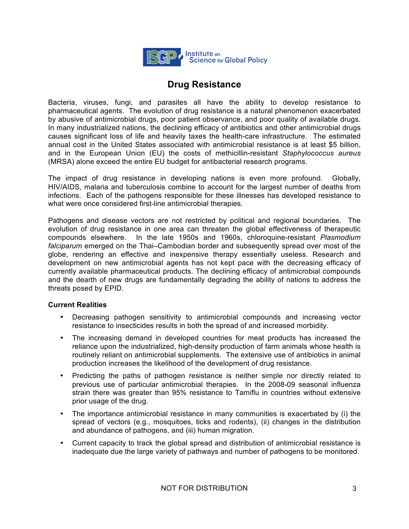

## **Drug Resistance**

Bacteria, viruses, fungi, and parasites all have the ability to develop resistance to pharmaceutical agents. The evolution of drug resistance is a natural phenomenon exacerbated by abusive of antimicrobial drugs, poor patient observance, and poor quality of available drugs. In many industrialized nations, the declining efficacy of antibiotics and other antimicrobial drugs causes significant loss of life and heavily taxes the health-care infrastructure. The estimated annual cost in the United States associated with antimicrobial resistance is at least \$5 billion, and in the European Union (EU) the costs of methicillin-resistant *Staphylococcus aureus* (MRSA) alone exceed the entire EU budget for antibacterial research programs.

The impact of drug resistance in developing nations is even more profound. Globally, HIV/AIDS, malaria and tuberculosis combine to account for the largest number of deaths from infections. Each of the pathogens responsible for these illnesses has developed resistance to what were once considered first-line antimicrobial therapies.

Pathogens and disease vectors are not restricted by political and regional boundaries. The evolution of drug resistance in one area can threaten the global effectiveness of therapeutic compounds elsewhere. In the late 1950s and 1960s, chloroquine-resistant *Plasmodium falciparum* emerged on the Thai–Cambodian border and subsequently spread over most of the globe, rendering an effective and inexpensive therapy essentially useless. Research and development on new antimicrobial agents has not kept pace with the decreasing efficacy of currently available pharmaceutical products. The declining efficacy of antimicrobial compounds and the dearth of new drugs are fundamentally degrading the ability of nations to address the threats posed by EPID.

#### **Current Realities**

- Decreasing pathogen sensitivity to antimicrobial compounds and increasing vector resistance to insecticides results in both the spread of and increased morbidity.
- The increasing demand in developed countries for meat products has increased the reliance upon the industrialized, high-density production of farm animals whose health is routinely reliant on antimicrobial supplements. The extensive use of antibiotics in animal production increases the likelihood of the development of drug resistance.
- Predicting the paths of pathogen resistance is neither simple nor directly related to previous use of particular antimicrobial therapies. In the 2008-09 seasonal influenza strain there was greater than 95% resistance to Tamiflu in countries without extensive prior usage of the drug.
- The importance antimicrobial resistance in many communities is exacerbated by (i) the spread of vectors (e.g., mosquitoes, ticks and rodents), (ii) changes in the distribution and abundance of pathogens, and (iii) human migration.
- Current capacity to track the global spread and distribution of antimicrobial resistance is inadequate due the large variety of pathways and number of pathogens to be monitored.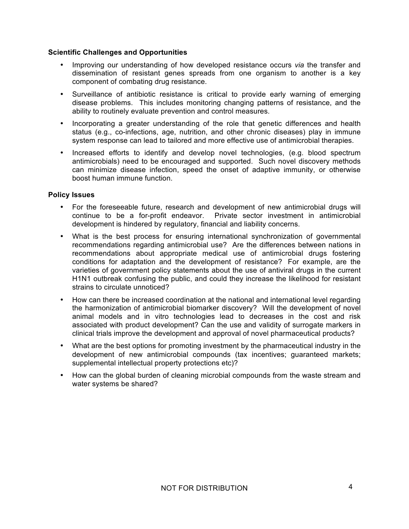#### **Scientific Challenges and Opportunities**

- Improving our understanding of how developed resistance occurs *via* the transfer and dissemination of resistant genes spreads from one organism to another is a key component of combating drug resistance.
- Surveillance of antibiotic resistance is critical to provide early warning of emerging disease problems. This includes monitoring changing patterns of resistance, and the ability to routinely evaluate prevention and control measures.
- Incorporating a greater understanding of the role that genetic differences and health status (e.g., co-infections, age, nutrition, and other chronic diseases) play in immune system response can lead to tailored and more effective use of antimicrobial therapies.
- Increased efforts to identify and develop novel technologies, (e.g. blood spectrum antimicrobials) need to be encouraged and supported. Such novel discovery methods can minimize disease infection, speed the onset of adaptive immunity, or otherwise boost human immune function.

- For the foreseeable future, research and development of new antimicrobial drugs will continue to be a for-profit endeavor. Private sector investment in antimicrobial development is hindered by regulatory, financial and liability concerns.
- What is the best process for ensuring international synchronization of governmental recommendations regarding antimicrobial use? Are the differences between nations in recommendations about appropriate medical use of antimicrobial drugs fostering conditions for adaptation and the development of resistance? For example, are the varieties of government policy statements about the use of antiviral drugs in the current H1N1 outbreak confusing the public, and could they increase the likelihood for resistant strains to circulate unnoticed?
- How can there be increased coordination at the national and international level regarding the harmonization of antimicrobial biomarker discovery? Will the development of novel animal models and in vitro technologies lead to decreases in the cost and risk associated with product development? Can the use and validity of surrogate markers in clinical trials improve the development and approval of novel pharmaceutical products?
- What are the best options for promoting investment by the pharmaceutical industry in the development of new antimicrobial compounds (tax incentives; guaranteed markets; supplemental intellectual property protections etc)?
- How can the global burden of cleaning microbial compounds from the waste stream and water systems be shared?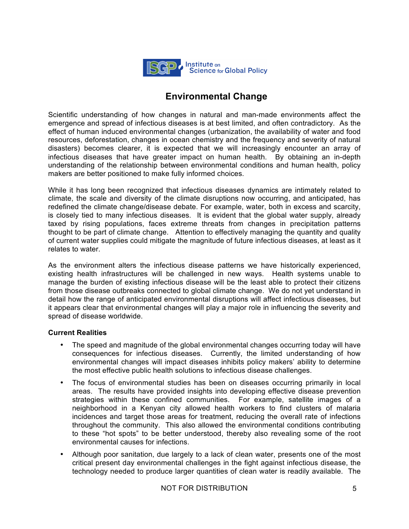

### **Environmental Change**

Scientific understanding of how changes in natural and man-made environments affect the emergence and spread of infectious diseases is at best limited, and often contradictory. As the effect of human induced environmental changes (urbanization, the availability of water and food resources, deforestation, changes in ocean chemistry and the frequency and severity of natural disasters) becomes clearer, it is expected that we will increasingly encounter an array of infectious diseases that have greater impact on human health. By obtaining an in-depth understanding of the relationship between environmental conditions and human health, policy makers are better positioned to make fully informed choices.

While it has long been recognized that infectious diseases dynamics are intimately related to climate, the scale and diversity of the climate disruptions now occurring, and anticipated, has redefined the climate change/disease debate. For example, water, both in excess and scarcity, is closely tied to many infectious diseases. It is evident that the global water supply, already taxed by rising populations, faces extreme threats from changes in precipitation patterns thought to be part of climate change. Attention to effectively managing the quantity and quality of current water supplies could mitigate the magnitude of future infectious diseases, at least as it relates to water.

As the environment alters the infectious disease patterns we have historically experienced, existing health infrastructures will be challenged in new ways. Health systems unable to manage the burden of existing infectious disease will be the least able to protect their citizens from those disease outbreaks connected to global climate change. We do not yet understand in detail how the range of anticipated environmental disruptions will affect infectious diseases, but it appears clear that environmental changes will play a major role in influencing the severity and spread of disease worldwide.

#### **Current Realities**

- The speed and magnitude of the global environmental changes occurring today will have consequences for infectious diseases. Currently, the limited understanding of how environmental changes will impact diseases inhibits policy makers' ability to determine the most effective public health solutions to infectious disease challenges.
- The focus of environmental studies has been on diseases occurring primarily in local areas. The results have provided insights into developing effective disease prevention strategies within these confined communities. For example, satellite images of a neighborhood in a Kenyan city allowed health workers to find clusters of malaria incidences and target those areas for treatment, reducing the overall rate of infections throughout the community. This also allowed the environmental conditions contributing to these "hot spots" to be better understood, thereby also revealing some of the root environmental causes for infections.
- Although poor sanitation, due largely to a lack of clean water, presents one of the most critical present day environmental challenges in the fight against infectious disease, the technology needed to produce larger quantities of clean water is readily available. The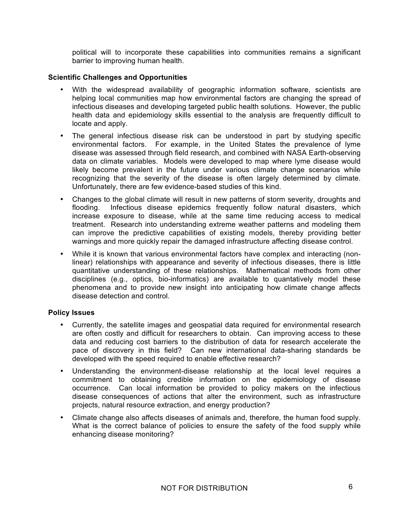political will to incorporate these capabilities into communities remains a significant barrier to improving human health.

#### **Scientific Challenges and Opportunities**

- With the widespread availability of geographic information software, scientists are helping local communities map how environmental factors are changing the spread of infectious diseases and developing targeted public health solutions. However, the public health data and epidemiology skills essential to the analysis are frequently difficult to locate and apply.
- The general infectious disease risk can be understood in part by studying specific environmental factors. For example, in the United States the prevalence of lyme disease was assessed through field research, and combined with NASA Earth-observing data on climate variables. Models were developed to map where lyme disease would likely become prevalent in the future under various climate change scenarios while recognizing that the severity of the disease is often largely determined by climate. Unfortunately, there are few evidence-based studies of this kind.
- Changes to the global climate will result in new patterns of storm severity, droughts and flooding. Infectious disease epidemics frequently follow natural disasters, which Infectious disease epidemics frequently follow natural disasters, which increase exposure to disease, while at the same time reducing access to medical treatment. Research into understanding extreme weather patterns and modeling them can improve the predictive capabilities of existing models, thereby providing better warnings and more quickly repair the damaged infrastructure affecting disease control.
- While it is known that various environmental factors have complex and interacting (nonlinear) relationships with appearance and severity of infectious diseases, there is little quantitative understanding of these relationships. Mathematical methods from other disciplines (e.g., optics, bio-informatics) are available to quantatively model these phenomena and to provide new insight into anticipating how climate change affects disease detection and control.

- Currently, the satellite images and geospatial data required for environmental research are often costly and difficult for researchers to obtain. Can improving access to these data and reducing cost barriers to the distribution of data for research accelerate the pace of discovery in this field? Can new international data-sharing standards be developed with the speed required to enable effective research?
- Understanding the environment-disease relationship at the local level requires a commitment to obtaining credible information on the epidemiology of disease occurrence. Can local information be provided to policy makers on the infectious disease consequences of actions that alter the environment, such as infrastructure projects, natural resource extraction, and energy production?
- Climate change also affects diseases of animals and, therefore, the human food supply. What is the correct balance of policies to ensure the safety of the food supply while enhancing disease monitoring?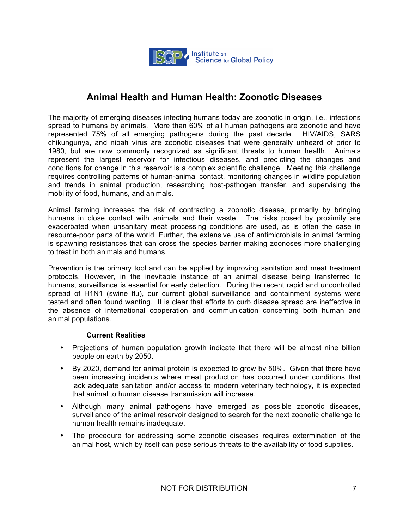

### **Animal Health and Human Health: Zoonotic Diseases**

The majority of emerging diseases infecting humans today are zoonotic in origin, i.e., infections spread to humans by animals. More than 60% of all human pathogens are zoonotic and have represented 75% of all emerging pathogens during the past decade. HIV/AIDS, SARS chikungunya, and nipah virus are zoonotic diseases that were generally unheard of prior to 1980, but are now commonly recognized as significant threats to human health. Animals represent the largest reservoir for infectious diseases, and predicting the changes and conditions for change in this reservoir is a complex scientific challenge. Meeting this challenge requires controlling patterns of human-animal contact, monitoring changes in wildlife population and trends in animal production, researching host-pathogen transfer, and supervising the mobility of food, humans, and animals.

Animal farming increases the risk of contracting a zoonotic disease, primarily by bringing humans in close contact with animals and their waste. The risks posed by proximity are exacerbated when unsanitary meat processing conditions are used, as is often the case in resource-poor parts of the world. Further, the extensive use of antimicrobials in animal farming is spawning resistances that can cross the species barrier making zoonoses more challenging to treat in both animals and humans.

Prevention is the primary tool and can be applied by improving sanitation and meat treatment protocols. However, in the inevitable instance of an animal disease being transferred to humans, surveillance is essential for early detection. During the recent rapid and uncontrolled spread of H1N1 (swine flu), our current global surveillance and containment systems were tested and often found wanting. It is clear that efforts to curb disease spread are ineffective in the absence of international cooperation and communication concerning both human and animal populations.

#### **Current Realities**

- Projections of human population growth indicate that there will be almost nine billion people on earth by 2050.
- By 2020, demand for animal protein is expected to grow by 50%. Given that there have been increasing incidents where meat production has occurred under conditions that lack adequate sanitation and/or access to modern veterinary technology, it is expected that animal to human disease transmission will increase.
- Although many animal pathogens have emerged as possible zoonotic diseases, surveillance of the animal reservoir designed to search for the next zoonotic challenge to human health remains inadequate.
- The procedure for addressing some zoonotic diseases requires extermination of the animal host, which by itself can pose serious threats to the availability of food supplies.